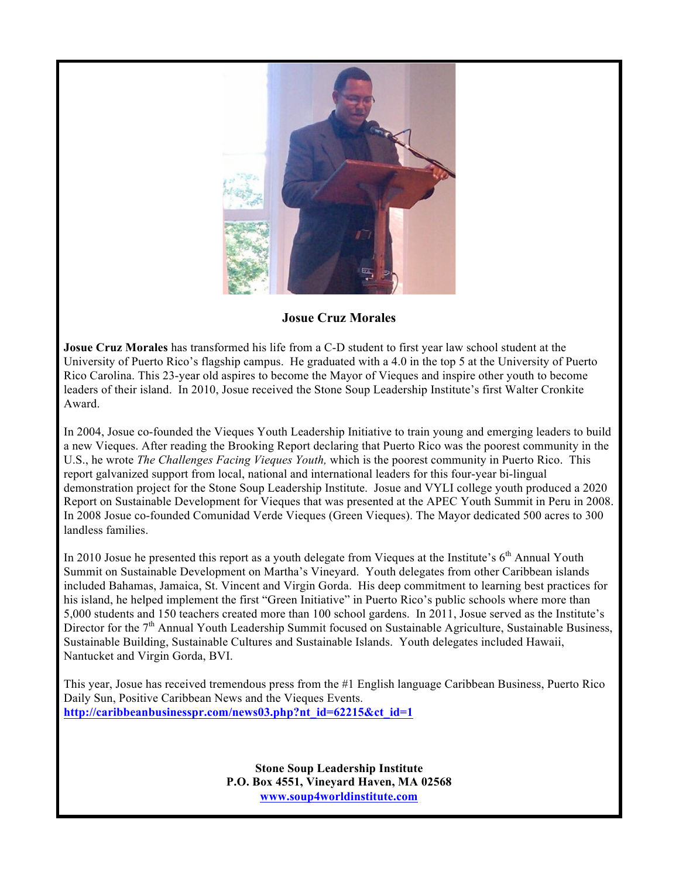

**Josue Cruz Morales**

**Josue Cruz Morales** has transformed his life from a C-D student to first year law school student at the University of Puerto Rico's flagship campus. He graduated with a 4.0 in the top 5 at the University of Puerto Rico Carolina. This 23-year old aspires to become the Mayor of Vieques and inspire other youth to become leaders of their island. In 2010, Josue received the Stone Soup Leadership Institute's first Walter Cronkite Award.

In 2004, Josue co-founded the Vieques Youth Leadership Initiative to train young and emerging leaders to build a new Vieques. After reading the Brooking Report declaring that Puerto Rico was the poorest community in the U.S., he wrote *The Challenges Facing Vieques Youth,* which is the poorest community in Puerto Rico. This report galvanized support from local, national and international leaders for this four-year bi-lingual demonstration project for the Stone Soup Leadership Institute. Josue and VYLI college youth produced a 2020 Report on Sustainable Development for Vieques that was presented at the APEC Youth Summit in Peru in 2008. In 2008 Josue co-founded Comunidad Verde Vieques (Green Vieques). The Mayor dedicated 500 acres to 300 landless families.

In 2010 Josue he presented this report as a youth delegate from Vieques at the Institute's  $6<sup>th</sup>$  Annual Youth Summit on Sustainable Development on Martha's Vineyard. Youth delegates from other Caribbean islands included Bahamas, Jamaica, St. Vincent and Virgin Gorda. His deep commitment to learning best practices for his island, he helped implement the first "Green Initiative" in Puerto Rico's public schools where more than 5,000 students and 150 teachers created more than 100 school gardens. In 2011, Josue served as the Institute's Director for the 7<sup>th</sup> Annual Youth Leadership Summit focused on Sustainable Agriculture, Sustainable Business, Sustainable Building, Sustainable Cultures and Sustainable Islands. Youth delegates included Hawaii, Nantucket and Virgin Gorda, BVI.

This year, Josue has received tremendous press from the #1 English language Caribbean Business, Puerto Rico Daily Sun, Positive Caribbean News and the Vieques Events. **http://caribbeanbusinesspr.com/news03.php?nt\_id=62215&ct\_id=1**

> **Stone Soup Leadership Institute P.O. Box 4551, Vineyard Haven, MA 02568 www.soup4worldinstitute.com**